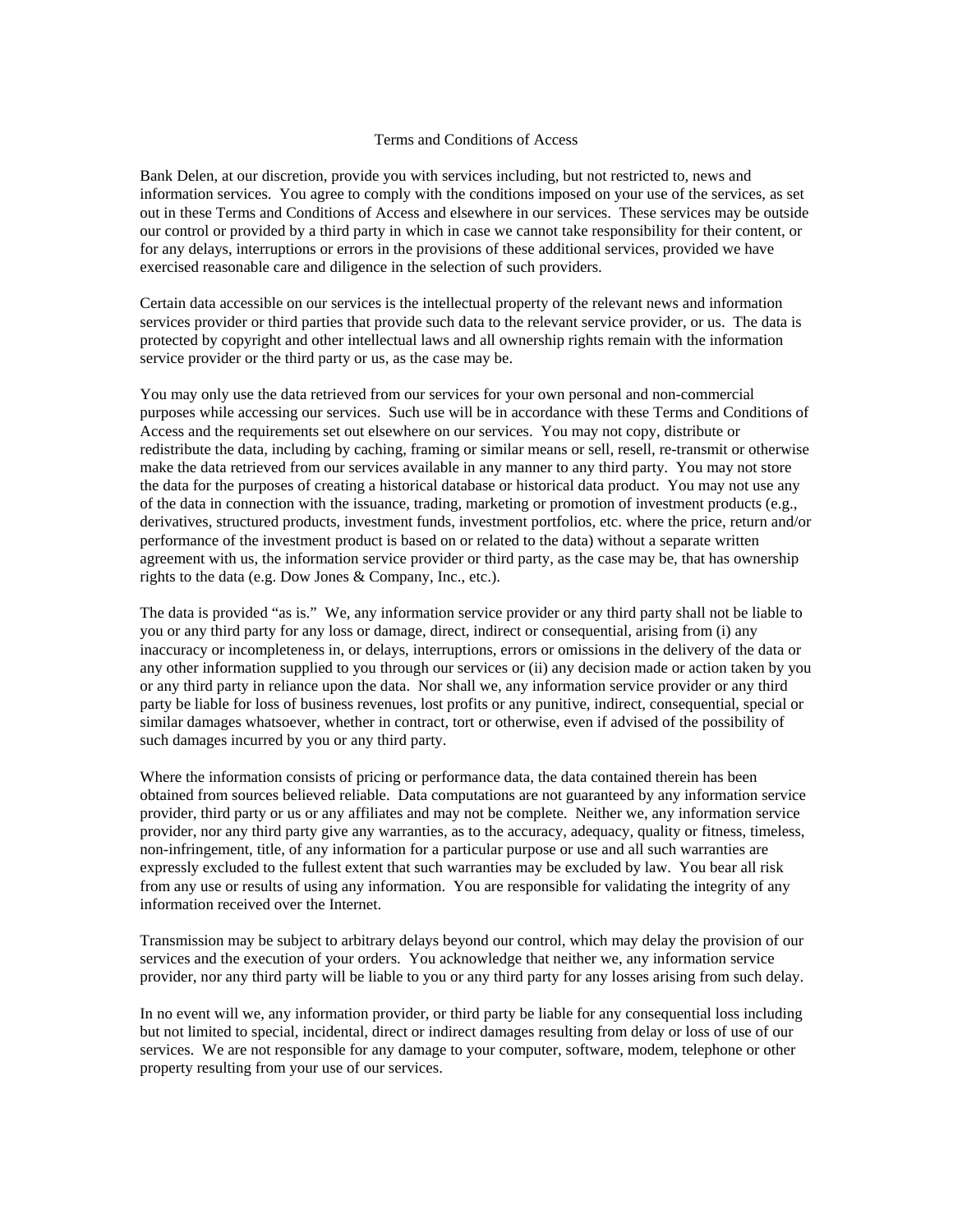## Terms and Conditions of Access

Bank Delen, at our discretion, provide you with services including, but not restricted to, news and information services. You agree to comply with the conditions imposed on your use of the services, as set out in these Terms and Conditions of Access and elsewhere in our services. These services may be outside our control or provided by a third party in which in case we cannot take responsibility for their content, or for any delays, interruptions or errors in the provisions of these additional services, provided we have exercised reasonable care and diligence in the selection of such providers.

Certain data accessible on our services is the intellectual property of the relevant news and information services provider or third parties that provide such data to the relevant service provider, or us. The data is protected by copyright and other intellectual laws and all ownership rights remain with the information service provider or the third party or us, as the case may be.

You may only use the data retrieved from our services for your own personal and non-commercial purposes while accessing our services. Such use will be in accordance with these Terms and Conditions of Access and the requirements set out elsewhere on our services. You may not copy, distribute or redistribute the data, including by caching, framing or similar means or sell, resell, re-transmit or otherwise make the data retrieved from our services available in any manner to any third party. You may not store the data for the purposes of creating a historical database or historical data product. You may not use any of the data in connection with the issuance, trading, marketing or promotion of investment products (e.g., derivatives, structured products, investment funds, investment portfolios, etc. where the price, return and/or performance of the investment product is based on or related to the data) without a separate written agreement with us, the information service provider or third party, as the case may be, that has ownership rights to the data (e.g. Dow Jones & Company, Inc., etc.).

The data is provided "as is." We, any information service provider or any third party shall not be liable to you or any third party for any loss or damage, direct, indirect or consequential, arising from (i) any inaccuracy or incompleteness in, or delays, interruptions, errors or omissions in the delivery of the data or any other information supplied to you through our services or (ii) any decision made or action taken by you or any third party in reliance upon the data. Nor shall we, any information service provider or any third party be liable for loss of business revenues, lost profits or any punitive, indirect, consequential, special or similar damages whatsoever, whether in contract, tort or otherwise, even if advised of the possibility of such damages incurred by you or any third party.

Where the information consists of pricing or performance data, the data contained therein has been obtained from sources believed reliable. Data computations are not guaranteed by any information service provider, third party or us or any affiliates and may not be complete. Neither we, any information service provider, nor any third party give any warranties, as to the accuracy, adequacy, quality or fitness, timeless, non-infringement, title, of any information for a particular purpose or use and all such warranties are expressly excluded to the fullest extent that such warranties may be excluded by law. You bear all risk from any use or results of using any information. You are responsible for validating the integrity of any information received over the Internet.

Transmission may be subject to arbitrary delays beyond our control, which may delay the provision of our services and the execution of your orders. You acknowledge that neither we, any information service provider, nor any third party will be liable to you or any third party for any losses arising from such delay.

In no event will we, any information provider, or third party be liable for any consequential loss including but not limited to special, incidental, direct or indirect damages resulting from delay or loss of use of our services. We are not responsible for any damage to your computer, software, modem, telephone or other property resulting from your use of our services.